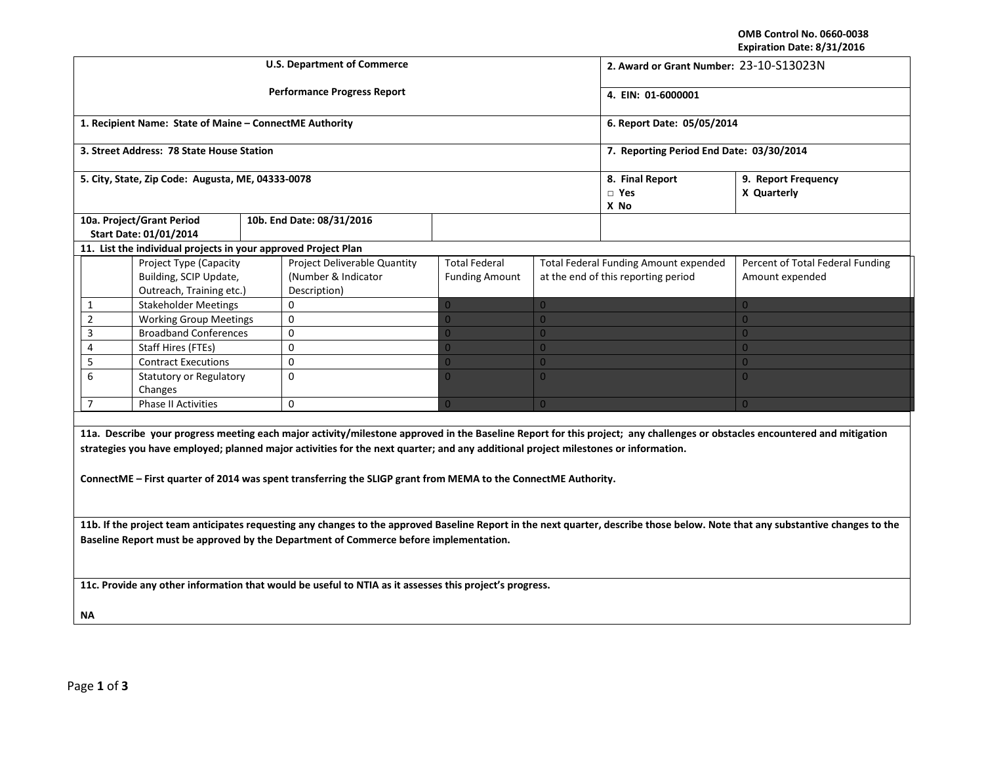**OMB Control No. 0660-0038 Expiration Date: 8/31/2016**

|                                                                                                                                                                                                                                                                                                                                                                                                                                    |                                                                              |  | <b>U.S. Department of Commerce</b>                                         | 2. Award or Grant Number: 23-10-S13023N       |                                       |                                                                                     |                                                     |  |  |
|------------------------------------------------------------------------------------------------------------------------------------------------------------------------------------------------------------------------------------------------------------------------------------------------------------------------------------------------------------------------------------------------------------------------------------|------------------------------------------------------------------------------|--|----------------------------------------------------------------------------|-----------------------------------------------|---------------------------------------|-------------------------------------------------------------------------------------|-----------------------------------------------------|--|--|
|                                                                                                                                                                                                                                                                                                                                                                                                                                    |                                                                              |  | <b>Performance Progress Report</b>                                         |                                               | 4. EIN: 01-6000001                    |                                                                                     |                                                     |  |  |
|                                                                                                                                                                                                                                                                                                                                                                                                                                    | 1. Recipient Name: State of Maine - ConnectME Authority                      |  |                                                                            |                                               |                                       | 6. Report Date: 05/05/2014                                                          |                                                     |  |  |
|                                                                                                                                                                                                                                                                                                                                                                                                                                    | 3. Street Address: 78 State House Station                                    |  |                                                                            |                                               |                                       | 7. Reporting Period End Date: 03/30/2014                                            |                                                     |  |  |
|                                                                                                                                                                                                                                                                                                                                                                                                                                    | 5. City, State, Zip Code: Augusta, ME, 04333-0078                            |  |                                                                            |                                               | 8. Final Report<br>$\Box$ Yes<br>X No | 9. Report Frequency<br>X Quarterly                                                  |                                                     |  |  |
| 10a. Project/Grant Period<br>Start Date: 01/01/2014                                                                                                                                                                                                                                                                                                                                                                                |                                                                              |  | 10b. End Date: 08/31/2016                                                  |                                               |                                       |                                                                                     |                                                     |  |  |
|                                                                                                                                                                                                                                                                                                                                                                                                                                    | 11. List the individual projects in your approved Project Plan               |  |                                                                            |                                               |                                       |                                                                                     |                                                     |  |  |
|                                                                                                                                                                                                                                                                                                                                                                                                                                    | Project Type (Capacity<br>Building, SCIP Update,<br>Outreach, Training etc.) |  | <b>Project Deliverable Quantity</b><br>(Number & Indicator<br>Description) | <b>Total Federal</b><br><b>Funding Amount</b> |                                       | <b>Total Federal Funding Amount expended</b><br>at the end of this reporting period | Percent of Total Federal Funding<br>Amount expended |  |  |
| 1                                                                                                                                                                                                                                                                                                                                                                                                                                  | <b>Stakeholder Meetings</b>                                                  |  | $\mathbf 0$                                                                |                                               | $\overline{0}$                        |                                                                                     | $\overline{0}$                                      |  |  |
| $\overline{2}$                                                                                                                                                                                                                                                                                                                                                                                                                     | <b>Working Group Meetings</b>                                                |  | $\mathbf{0}$                                                               | $\Omega$                                      | $\overline{0}$                        |                                                                                     | $\overline{0}$                                      |  |  |
| 3                                                                                                                                                                                                                                                                                                                                                                                                                                  | <b>Broadband Conferences</b>                                                 |  | $\mathbf 0$                                                                | $\Omega$                                      | $\overline{0}$                        |                                                                                     | $\overline{0}$                                      |  |  |
| 4                                                                                                                                                                                                                                                                                                                                                                                                                                  | <b>Staff Hires (FTEs)</b>                                                    |  | $\Omega$                                                                   | $\Omega$                                      | $\overline{0}$                        |                                                                                     | $\Omega$                                            |  |  |
| 5                                                                                                                                                                                                                                                                                                                                                                                                                                  | <b>Contract Executions</b>                                                   |  | $\mathbf 0$                                                                | $\Omega$                                      | $\overline{0}$                        |                                                                                     | $\overline{0}$                                      |  |  |
| 6                                                                                                                                                                                                                                                                                                                                                                                                                                  | <b>Statutory or Regulatory</b><br>Changes                                    |  | $\Omega$                                                                   | $\Omega$                                      | $\overline{0}$                        |                                                                                     | $\overline{0}$                                      |  |  |
| $\overline{7}$                                                                                                                                                                                                                                                                                                                                                                                                                     | Phase II Activities                                                          |  | 0                                                                          | $\Omega$                                      | $\overline{0}$                        |                                                                                     | $\overline{0}$                                      |  |  |
| 11a. Describe your progress meeting each major activity/milestone approved in the Baseline Report for this project; any challenges or obstacles encountered and mitigation<br>strategies you have employed; planned major activities for the next quarter; and any additional project milestones or information.<br>ConnectME - First quarter of 2014 was spent transferring the SLIGP grant from MEMA to the ConnectME Authority. |                                                                              |  |                                                                            |                                               |                                       |                                                                                     |                                                     |  |  |
| 11b. If the project team anticipates requesting any changes to the approved Baseline Report in the next quarter, describe those below. Note that any substantive changes to the                                                                                                                                                                                                                                                    |                                                                              |  |                                                                            |                                               |                                       |                                                                                     |                                                     |  |  |
| Baseline Report must be approved by the Department of Commerce before implementation.                                                                                                                                                                                                                                                                                                                                              |                                                                              |  |                                                                            |                                               |                                       |                                                                                     |                                                     |  |  |
| 11c. Provide any other information that would be useful to NTIA as it assesses this project's progress.                                                                                                                                                                                                                                                                                                                            |                                                                              |  |                                                                            |                                               |                                       |                                                                                     |                                                     |  |  |
| NA.                                                                                                                                                                                                                                                                                                                                                                                                                                |                                                                              |  |                                                                            |                                               |                                       |                                                                                     |                                                     |  |  |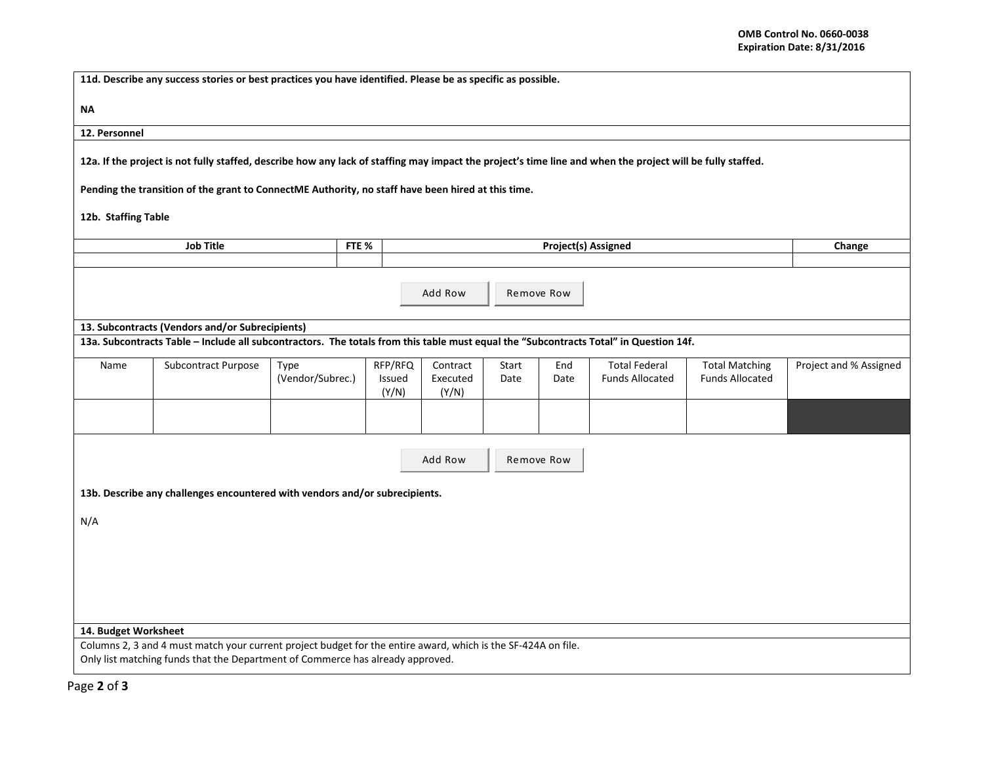| 11d. Describe any success stories or best practices you have identified. Please be as specific as possible.                                                |                                                                                                                                                                                                 |                  |                  |                 |                   |       |      |                            |                        |                        |  |  |  |  |  |
|------------------------------------------------------------------------------------------------------------------------------------------------------------|-------------------------------------------------------------------------------------------------------------------------------------------------------------------------------------------------|------------------|------------------|-----------------|-------------------|-------|------|----------------------------|------------------------|------------------------|--|--|--|--|--|
| ΝA                                                                                                                                                         |                                                                                                                                                                                                 |                  |                  |                 |                   |       |      |                            |                        |                        |  |  |  |  |  |
| 12. Personnel                                                                                                                                              |                                                                                                                                                                                                 |                  |                  |                 |                   |       |      |                            |                        |                        |  |  |  |  |  |
| 12a. If the project is not fully staffed, describe how any lack of staffing may impact the project's time line and when the project will be fully staffed. |                                                                                                                                                                                                 |                  |                  |                 |                   |       |      |                            |                        |                        |  |  |  |  |  |
|                                                                                                                                                            | Pending the transition of the grant to ConnectME Authority, no staff have been hired at this time.                                                                                              |                  |                  |                 |                   |       |      |                            |                        |                        |  |  |  |  |  |
| 12b. Staffing Table                                                                                                                                        |                                                                                                                                                                                                 |                  |                  |                 |                   |       |      |                            |                        |                        |  |  |  |  |  |
|                                                                                                                                                            | <b>Job Title</b>                                                                                                                                                                                |                  | FTE <sub>%</sub> |                 |                   |       |      | <b>Project(s) Assigned</b> |                        | Change                 |  |  |  |  |  |
|                                                                                                                                                            |                                                                                                                                                                                                 |                  |                  |                 |                   |       |      |                            |                        |                        |  |  |  |  |  |
| Add Row<br>Remove Row                                                                                                                                      |                                                                                                                                                                                                 |                  |                  |                 |                   |       |      |                            |                        |                        |  |  |  |  |  |
|                                                                                                                                                            | 13. Subcontracts (Vendors and/or Subrecipients)                                                                                                                                                 |                  |                  |                 |                   |       |      |                            |                        |                        |  |  |  |  |  |
|                                                                                                                                                            | 13a. Subcontracts Table - Include all subcontractors. The totals from this table must equal the "Subcontracts Total" in Question 14f.                                                           |                  |                  |                 |                   |       |      |                            |                        |                        |  |  |  |  |  |
| Name                                                                                                                                                       | Subcontract Purpose                                                                                                                                                                             | Type             |                  | RFP/RFQ         | Contract          | Start | End  | Total Federal              | <b>Total Matching</b>  | Project and % Assigned |  |  |  |  |  |
|                                                                                                                                                            |                                                                                                                                                                                                 | (Vendor/Subrec.) |                  | Issued<br>(Y/N) | Executed<br>(Y/N) | Date  | Date | <b>Funds Allocated</b>     | <b>Funds Allocated</b> |                        |  |  |  |  |  |
|                                                                                                                                                            |                                                                                                                                                                                                 |                  |                  |                 |                   |       |      |                            |                        |                        |  |  |  |  |  |
|                                                                                                                                                            | Add Row<br>Remove Row                                                                                                                                                                           |                  |                  |                 |                   |       |      |                            |                        |                        |  |  |  |  |  |
|                                                                                                                                                            |                                                                                                                                                                                                 |                  |                  |                 |                   |       |      |                            |                        |                        |  |  |  |  |  |
|                                                                                                                                                            | 13b. Describe any challenges encountered with vendors and/or subrecipients.                                                                                                                     |                  |                  |                 |                   |       |      |                            |                        |                        |  |  |  |  |  |
| N/A                                                                                                                                                        |                                                                                                                                                                                                 |                  |                  |                 |                   |       |      |                            |                        |                        |  |  |  |  |  |
|                                                                                                                                                            |                                                                                                                                                                                                 |                  |                  |                 |                   |       |      |                            |                        |                        |  |  |  |  |  |
|                                                                                                                                                            |                                                                                                                                                                                                 |                  |                  |                 |                   |       |      |                            |                        |                        |  |  |  |  |  |
|                                                                                                                                                            |                                                                                                                                                                                                 |                  |                  |                 |                   |       |      |                            |                        |                        |  |  |  |  |  |
|                                                                                                                                                            |                                                                                                                                                                                                 |                  |                  |                 |                   |       |      |                            |                        |                        |  |  |  |  |  |
|                                                                                                                                                            |                                                                                                                                                                                                 |                  |                  |                 |                   |       |      |                            |                        |                        |  |  |  |  |  |
| 14. Budget Worksheet                                                                                                                                       |                                                                                                                                                                                                 |                  |                  |                 |                   |       |      |                            |                        |                        |  |  |  |  |  |
|                                                                                                                                                            | Columns 2, 3 and 4 must match your current project budget for the entire award, which is the SF-424A on file.<br>Only list matching funds that the Department of Commerce has already approved. |                  |                  |                 |                   |       |      |                            |                        |                        |  |  |  |  |  |
|                                                                                                                                                            |                                                                                                                                                                                                 |                  |                  |                 |                   |       |      |                            |                        |                        |  |  |  |  |  |